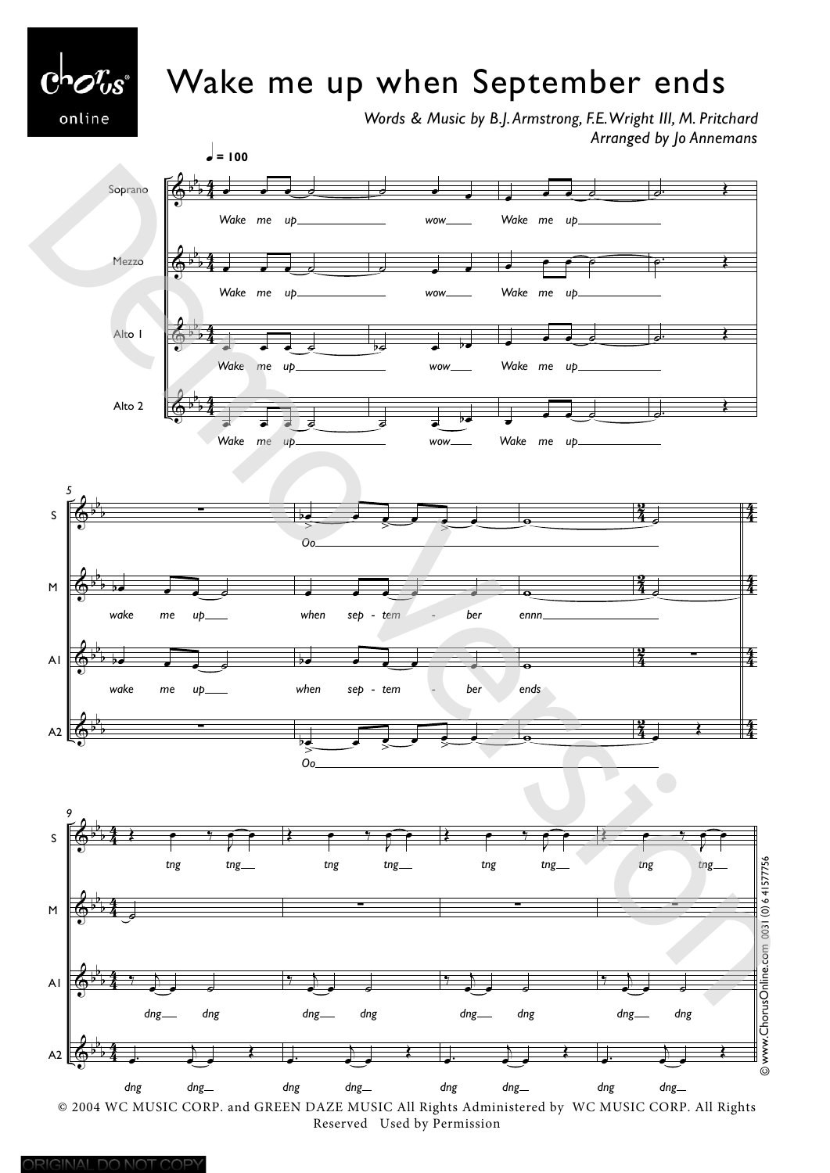## Wake me up when September ends

*Words & Music by B.J. Armstrong, F.E. Wright III, M. Pritchard Arranged by Jo Annemans*



 $\mathbf C$ 

online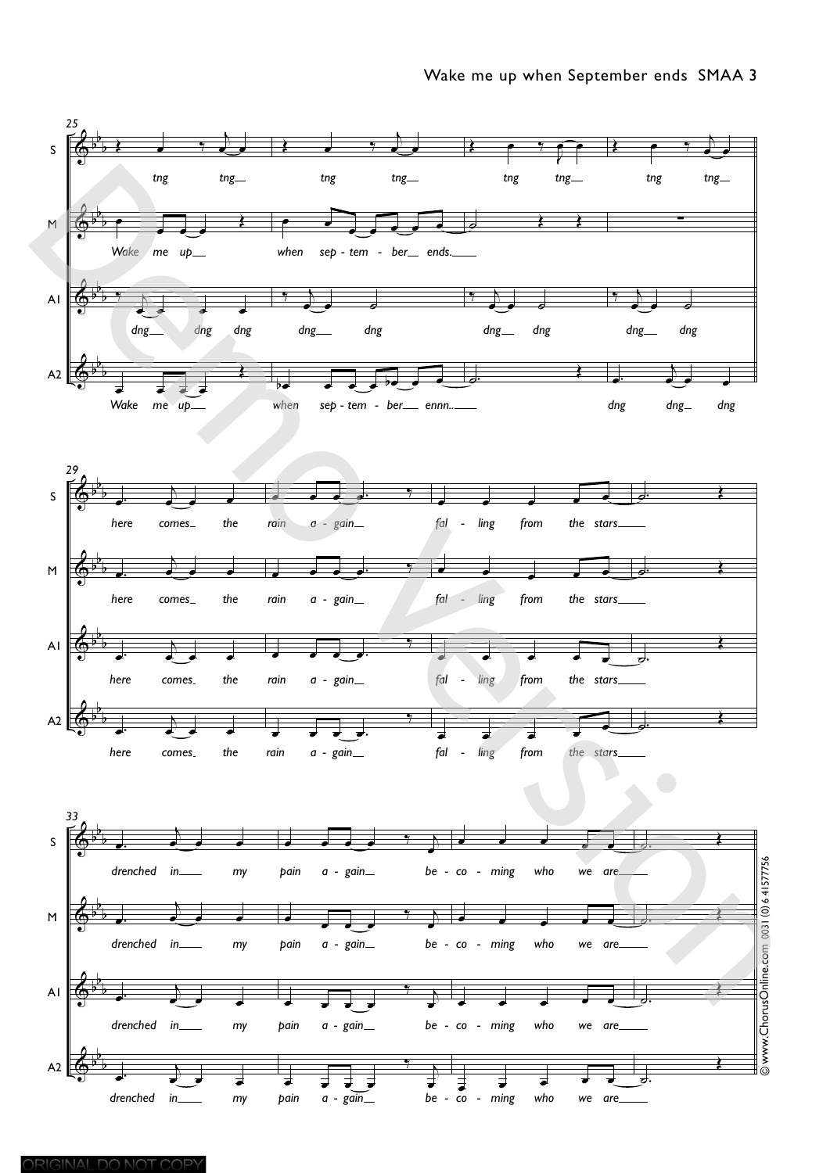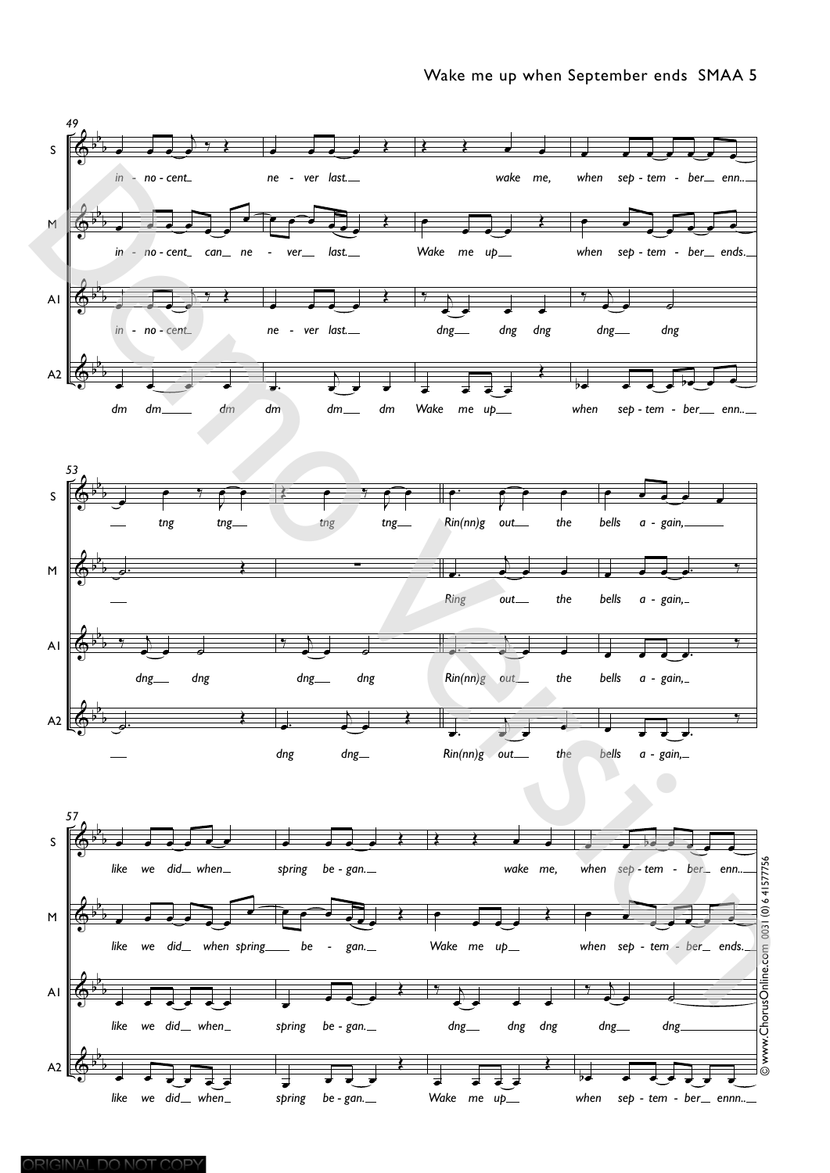

 $\frac{1}{\sqrt{1-\frac{1}{\sqrt{1-\frac{1}{\sqrt{1-\frac{1}{\sqrt{1-\frac{1}{\sqrt{1-\frac{1}{\sqrt{1-\frac{1}{\sqrt{1-\frac{1}{\sqrt{1-\frac{1}{\sqrt{1-\frac{1}{\sqrt{1-\frac{1}{\sqrt{1-\frac{1}{\sqrt{1-\frac{1}{\sqrt{1-\frac{1}{\sqrt{1-\frac{1}{\sqrt{1-\frac{1}{\sqrt{1-\frac{1}{\sqrt{1-\frac{1}{\sqrt{1-\frac{1}{\sqrt{1-\frac{1}{\sqrt{1-\frac{1}{\sqrt{1-\frac{1}{\sqrt{1-\frac{1}{\sqrt{1-\frac{1}{\sqrt{1-\frac{1$ 

œ œ œ œ

*Wake me up*

Œ

b<del>e entre de la parti</del> when sep - tem - ber<sub>-cennn...</sub>

*spring be gan. -*

&

A2

b

b

œ œ œ œ œ œ like we did<sub>-</sub> when-